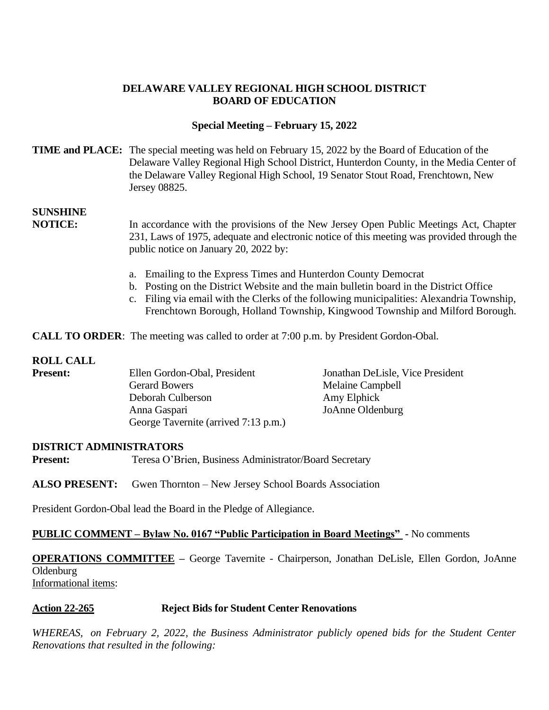### **DELAWARE VALLEY REGIONAL HIGH SCHOOL DISTRICT BOARD OF EDUCATION**

### **Special Meeting – February 15, 2022**

### **TIME and PLACE:** The special meeting was held on February 15, 2022 by the Board of Education of the Delaware Valley Regional High School District, Hunterdon County, in the Media Center of the Delaware Valley Regional High School, 19 Senator Stout Road, Frenchtown, New Jersey 08825.

# **SUNSHINE**

**NOTICE:** In accordance with the provisions of the New Jersey Open Public Meetings Act, Chapter 231, Laws of 1975, adequate and electronic notice of this meeting was provided through the public notice on January 20, 2022 by:

- a. Emailing to the Express Times and Hunterdon County Democrat
- b. Posting on the District Website and the main bulletin board in the District Office
- c. Filing via email with the Clerks of the following municipalities: Alexandria Township, Frenchtown Borough, Holland Township, Kingwood Township and Milford Borough.

**CALL TO ORDER:** The meeting was called to order at 7:00 p.m. by President Gordon-Obal.

#### **ROLL CALL**

| <b>Present:</b> | Ellen Gordon-Obal, President         | Jonathan DeLisle, Vice President |
|-----------------|--------------------------------------|----------------------------------|
|                 | <b>Gerard Bowers</b>                 | Melaine Campbell                 |
|                 | Deborah Culberson                    | Amy Elphick                      |
|                 | Anna Gaspari                         | JoAnne Oldenburg                 |
|                 | George Tavernite (arrived 7:13 p.m.) |                                  |

#### **DISTRICT ADMINISTRATORS**

**Present:** Teresa O'Brien, Business Administrator/Board Secretary

**ALSO PRESENT:** Gwen Thornton – New Jersey School Boards Association

President Gordon-Obal lead the Board in the Pledge of Allegiance.

#### **PUBLIC COMMENT – Bylaw No. 0167 "Public Participation in Board Meetings" -** No comments

**OPERATIONS COMMITTEE –** George Tavernite - Chairperson, Jonathan DeLisle, Ellen Gordon, JoAnne **Oldenburg** Informational items:

#### **Action 22-265 Reject Bids for Student Center Renovations**

*WHEREAS, on February 2, 2022, the Business Administrator publicly opened bids for the Student Center Renovations that resulted in the following:*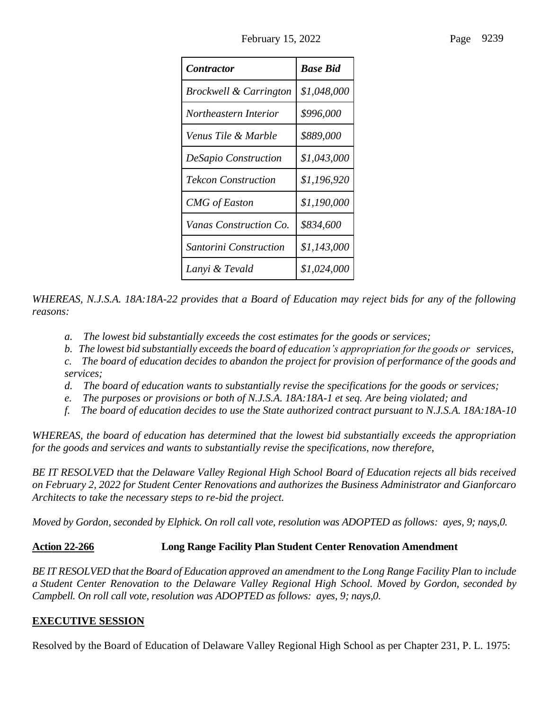| <i>Contractor</i>                 | <b>Base Bid</b> |
|-----------------------------------|-----------------|
| <b>Brockwell &amp; Carrington</b> | \$1,048,000     |
| Northeastern Interior             | \$996,000       |
| Venus Tile & Marble               | \$889,000       |
| <b>DeSapio Construction</b>       | \$1,043,000     |
| <b>Tekcon Construction</b>        | \$1,196,920     |
| <b>CMG</b> of Easton              | \$1,190,000     |
| Vanas Construction Co.            | \$834,600       |
| Santorini Construction            | \$1,143,000     |
| Lanyi & Tevald                    | \$1,024,000     |

*WHEREAS, N.J.S.A. 18A:18A-22 provides that a Board of Education may reject bids for any of the following reasons:*

- *a. The lowest bid substantially exceeds the cost estimates for the goods or services;*
- *b. The lowest bid substantially exceeds the board of education's appropriation for the goods or services,*
- *c. The board of education decides to abandon the project for provision of performance of the goods and services;*
- *d. The board of education wants to substantially revise the specifications for the goods or services;*
- *e. The purposes or provisions or both of N.J.S.A. 18A:18A-1 et seq. Are being violated; and*
- *f. The board of education decides to use the State authorized contract pursuant to N.J.S.A. 18A:18A-10*

*WHEREAS, the board of education has determined that the lowest bid substantially exceeds the appropriation for the goods and services and wants to substantially revise the specifications, now therefore,*

*BE IT RESOLVED that the Delaware Valley Regional High School Board of Education rejects all bids received on February 2, 2022 for Student Center Renovations and authorizes the Business Administrator and Gianforcaro Architects to take the necessary steps to re-bid the project.*

*Moved by Gordon, seconded by Elphick. On roll call vote, resolution was ADOPTED as follows: ayes, 9; nays,0.*

# **Action 22-266 Long Range Facility Plan Student Center Renovation Amendment**

*BE IT RESOLVED that the Board of Education approved an amendment to the Long Range Facility Plan to include a Student Center Renovation to the Delaware Valley Regional High School. Moved by Gordon, seconded by Campbell. On roll call vote, resolution was ADOPTED as follows: ayes, 9; nays,0.*

# **EXECUTIVE SESSION**

Resolved by the Board of Education of Delaware Valley Regional High School as per Chapter 231, P. L. 1975: